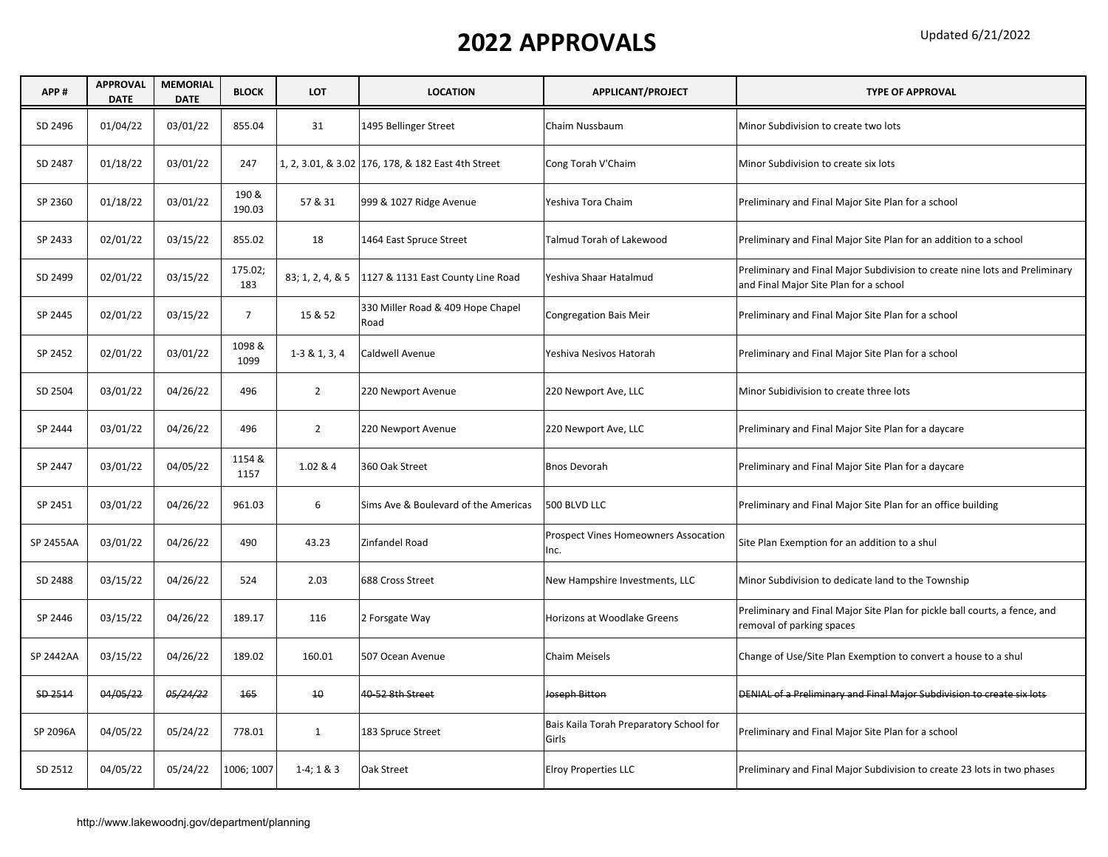| APP#      | <b>APPROVAL</b><br><b>DATE</b> | <b>MEMORIAL</b><br><b>DATE</b> | <b>BLOCK</b>    | <b>LOT</b>       | <b>LOCATION</b>                                    | APPLICANT/PROJECT                                   | <b>TYPE OF APPROVAL</b>                                                                                               |
|-----------|--------------------------------|--------------------------------|-----------------|------------------|----------------------------------------------------|-----------------------------------------------------|-----------------------------------------------------------------------------------------------------------------------|
| SD 2496   | 01/04/22                       | 03/01/22                       | 855.04          | 31               | 1495 Bellinger Street                              | Chaim Nussbaum                                      | Minor Subdivision to create two lots                                                                                  |
| SD 2487   | 01/18/22                       | 03/01/22                       | 247             |                  | 1, 2, 3.01, & 3.02 176, 178, & 182 East 4th Street | Cong Torah V'Chaim                                  | Minor Subdivision to create six lots                                                                                  |
| SP 2360   | 01/18/22                       | 03/01/22                       | 190 &<br>190.03 | 57 & 31          | 999 & 1027 Ridge Avenue                            | Yeshiva Tora Chaim                                  | Preliminary and Final Major Site Plan for a school                                                                    |
| SP 2433   | 02/01/22                       | 03/15/22                       | 855.02          | 18               | 1464 East Spruce Street                            | Talmud Torah of Lakewood                            | Preliminary and Final Major Site Plan for an addition to a school                                                     |
| SD 2499   | 02/01/22                       | 03/15/22                       | 175.02;<br>183  | 83; 1, 2, 4, & 5 | 1127 & 1131 East County Line Road                  | Yeshiva Shaar Hatalmud                              | Preliminary and Final Major Subdivision to create nine lots and Preliminary<br>and Final Major Site Plan for a school |
| SP 2445   | 02/01/22                       | 03/15/22                       | $\overline{7}$  | 15 & 52          | 330 Miller Road & 409 Hope Chapel<br>Road          | <b>Congregation Bais Meir</b>                       | Preliminary and Final Major Site Plan for a school                                                                    |
| SP 2452   | 02/01/22                       | 03/01/22                       | 1098 &<br>1099  | $1-381, 3, 4$    | Caldwell Avenue                                    | Yeshiva Nesivos Hatorah                             | Preliminary and Final Major Site Plan for a school                                                                    |
| SD 2504   | 03/01/22                       | 04/26/22                       | 496             | $\overline{2}$   | 220 Newport Avenue                                 | 220 Newport Ave, LLC                                | Minor Subidivision to create three lots                                                                               |
| SP 2444   | 03/01/22                       | 04/26/22                       | 496             | $\overline{2}$   | 220 Newport Avenue                                 | 220 Newport Ave, LLC                                | Preliminary and Final Major Site Plan for a daycare                                                                   |
| SP 2447   | 03/01/22                       | 04/05/22                       | 1154 &<br>1157  | 1.02 & 4         | 360 Oak Street                                     | <b>Bnos Devorah</b>                                 | Preliminary and Final Major Site Plan for a daycare                                                                   |
| SP 2451   | 03/01/22                       | 04/26/22                       | 961.03          | 6                | Sims Ave & Boulevard of the Americas               | 500 BLVD LLC                                        | Preliminary and Final Major Site Plan for an office building                                                          |
| SP 2455AA | 03/01/22                       | 04/26/22                       | 490             | 43.23            | Zinfandel Road                                     | <b>Prospect Vines Homeowners Assocation</b><br>Inc. | Site Plan Exemption for an addition to a shul                                                                         |
| SD 2488   | 03/15/22                       | 04/26/22                       | 524             | 2.03             | 688 Cross Street                                   | New Hampshire Investments, LLC                      | Minor Subdivision to dedicate land to the Township                                                                    |
| SP 2446   | 03/15/22                       | 04/26/22                       | 189.17          | 116              | 2 Forsgate Way                                     | Horizons at Woodlake Greens                         | Preliminary and Final Major Site Plan for pickle ball courts, a fence, and<br>removal of parking spaces               |
| SP 2442AA | 03/15/22                       | 04/26/22                       | 189.02          | 160.01           | 507 Ocean Avenue                                   | <b>Chaim Meisels</b>                                | Change of Use/Site Plan Exemption to convert a house to a shul                                                        |
| SD 2514   | 04/05/22                       | 05/24/22                       | 165             | 10 <sup>°</sup>  | 40 52 8th Street                                   | Joseph Bitton                                       | DENIAL of a Preliminary and Final Major Subdivision to create six lots                                                |
| SP 2096A  | 04/05/22                       | 05/24/22                       | 778.01          | $\mathbf{1}$     | 183 Spruce Street                                  | Bais Kaila Torah Preparatory School for<br>Girls    | Preliminary and Final Major Site Plan for a school                                                                    |
| SD 2512   | 04/05/22                       | 05/24/22                       | 1006; 1007      | $1-4; 1 & 8 & 3$ | Oak Street                                         | <b>Elroy Properties LLC</b>                         | Preliminary and Final Major Subdivision to create 23 lots in two phases                                               |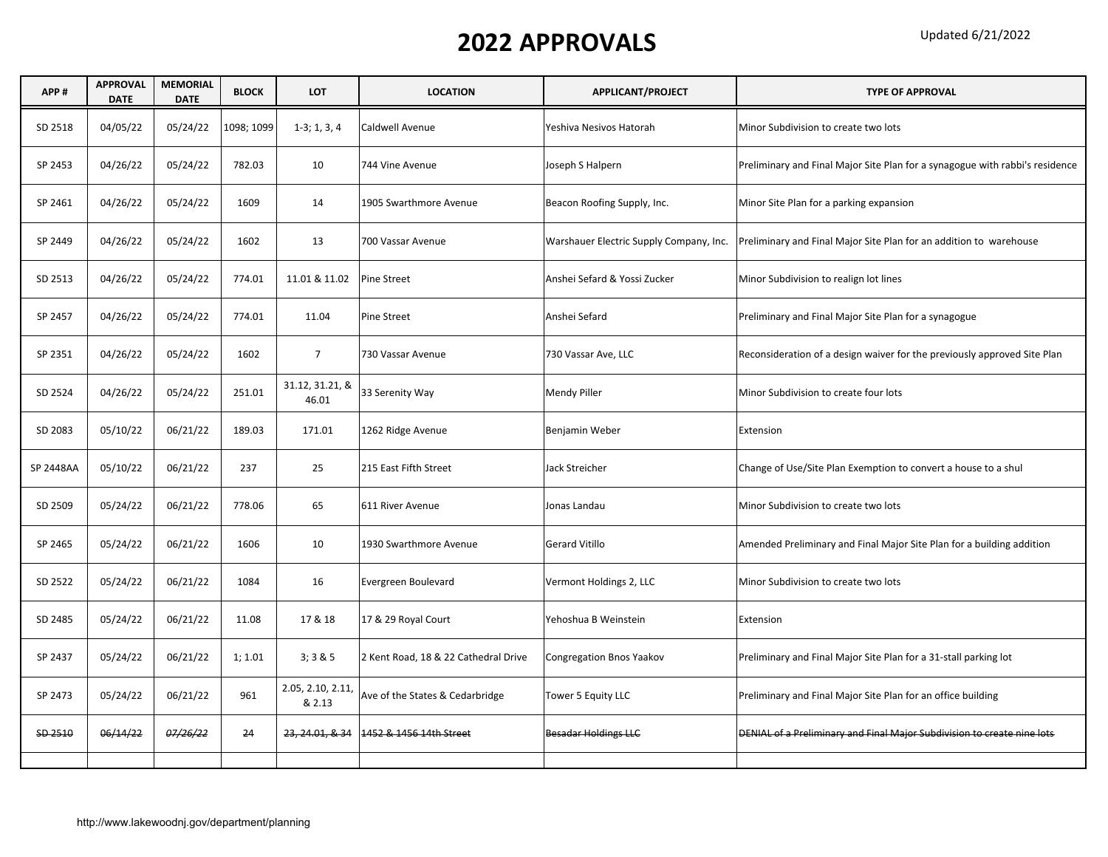| APP#             | <b>APPROVAL</b><br><b>DATE</b> | <b>MEMORIAL</b><br><b>DATE</b> | <b>BLOCK</b> | LOT                         | <b>LOCATION</b>                      | <b>APPLICANT/PROJECT</b>                | <b>TYPE OF APPROVAL</b>                                                      |
|------------------|--------------------------------|--------------------------------|--------------|-----------------------------|--------------------------------------|-----------------------------------------|------------------------------------------------------------------------------|
| SD 2518          | 04/05/22                       | 05/24/22                       | 1098; 1099   | $1-3; 1, 3, 4$              | Caldwell Avenue                      | Yeshiva Nesivos Hatorah                 | Minor Subdivision to create two lots                                         |
| SP 2453          | 04/26/22                       | 05/24/22                       | 782.03       | 10                          | 744 Vine Avenue                      | Joseph S Halpern                        | Preliminary and Final Major Site Plan for a synagogue with rabbi's residence |
| SP 2461          | 04/26/22                       | 05/24/22                       | 1609         | 14                          | 1905 Swarthmore Avenue               | Beacon Roofing Supply, Inc.             | Minor Site Plan for a parking expansion                                      |
| SP 2449          | 04/26/22                       | 05/24/22                       | 1602         | 13                          | 700 Vassar Avenue                    | Warshauer Electric Supply Company, Inc. | Preliminary and Final Major Site Plan for an addition to warehouse           |
| SD 2513          | 04/26/22                       | 05/24/22                       | 774.01       | 11.01 & 11.02               | Pine Street                          | Anshei Sefard & Yossi Zucker            | Minor Subdivision to realign lot lines                                       |
| SP 2457          | 04/26/22                       | 05/24/22                       | 774.01       | 11.04                       | Pine Street                          | Anshei Sefard                           | Preliminary and Final Major Site Plan for a synagogue                        |
| SP 2351          | 04/26/22                       | 05/24/22                       | 1602         | $\overline{7}$              | 730 Vassar Avenue                    | 730 Vassar Ave, LLC                     | Reconsideration of a design waiver for the previously approved Site Plan     |
| SD 2524          | 04/26/22                       | 05/24/22                       | 251.01       | 31.12, 31.21, &<br>46.01    | 33 Serenity Way                      | Mendy Piller                            | Minor Subdivision to create four lots                                        |
| SD 2083          | 05/10/22                       | 06/21/22                       | 189.03       | 171.01                      | 1262 Ridge Avenue                    | Benjamin Weber                          | Extension                                                                    |
| <b>SP 2448AA</b> | 05/10/22                       | 06/21/22                       | 237          | 25                          | 215 East Fifth Street                | Jack Streicher                          | Change of Use/Site Plan Exemption to convert a house to a shul               |
| SD 2509          | 05/24/22                       | 06/21/22                       | 778.06       | 65                          | 611 River Avenue                     | Jonas Landau                            | Minor Subdivision to create two lots                                         |
| SP 2465          | 05/24/22                       | 06/21/22                       | 1606         | 10                          | 1930 Swarthmore Avenue               | <b>Gerard Vitillo</b>                   | Amended Preliminary and Final Major Site Plan for a building addition        |
| SD 2522          | 05/24/22                       | 06/21/22                       | 1084         | 16                          | Evergreen Boulevard                  | Vermont Holdings 2, LLC                 | Minor Subdivision to create two lots                                         |
| SD 2485          | 05/24/22                       | 06/21/22                       | 11.08        | 17 & 18                     | 17 & 29 Royal Court                  | Yehoshua B Weinstein                    | Extension                                                                    |
| SP 2437          | 05/24/22                       | 06/21/22                       | 1; 1.01      | 3; 3 & 8 & 5                | 2 Kent Road, 18 & 22 Cathedral Drive | Congregation Bnos Yaakov                | Preliminary and Final Major Site Plan for a 31-stall parking lot             |
| SP 2473          | 05/24/22                       | 06/21/22                       | 961          | 2.05, 2.10, 2.11,<br>& 2.13 | Ave of the States & Cedarbridge      | Tower 5 Equity LLC                      | Preliminary and Final Major Site Plan for an office building                 |
| SD 2510          | 06/14/22                       | 07/26/22                       | 24           | 23, 24.01, & 34             | 1452 & 1456 14th Street              | <b>Besadar Holdings LLC</b>             | DENIAL of a Preliminary and Final Major Subdivision to create nine lots      |
|                  |                                |                                |              |                             |                                      |                                         |                                                                              |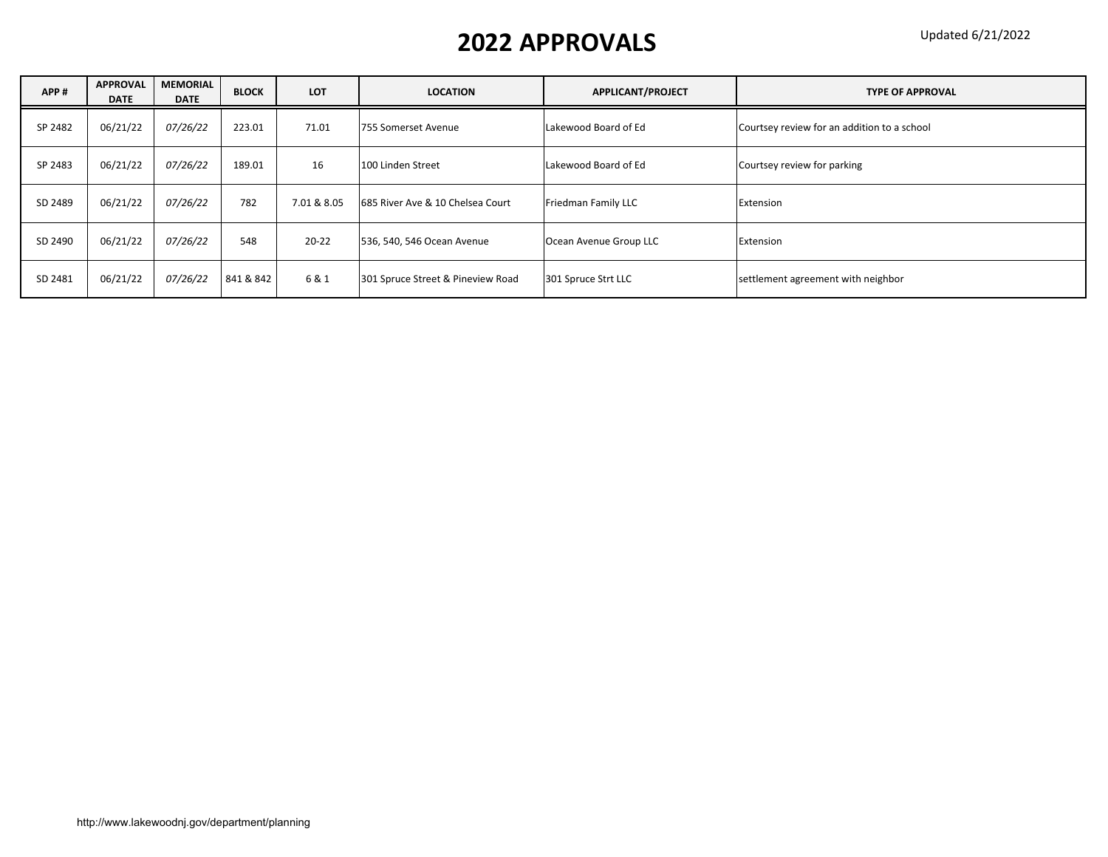| APP#    | <b>APPROVAL</b><br><b>DATE</b> | <b>MEMORIAL</b><br><b>DATE</b> | <b>BLOCK</b> | <b>LOT</b>  | <b>LOCATION</b>                   | APPLICANT/PROJECT      | <b>TYPE OF APPROVAL</b>                     |
|---------|--------------------------------|--------------------------------|--------------|-------------|-----------------------------------|------------------------|---------------------------------------------|
| SP 2482 | 06/21/22                       | <i>07/26/22</i>                | 223.01       | 71.01       | 755 Somerset Avenue               | Lakewood Board of Ed   | Courtsey review for an addition to a school |
| SP 2483 | 06/21/22                       | 07/26/22                       | 189.01       | 16          | 100 Linden Street                 | Lakewood Board of Ed   | Courtsey review for parking                 |
| SD 2489 | 06/21/22                       | 07/26/22                       | 782          | 7.01 & 8.05 | 685 River Ave & 10 Chelsea Court  | Friedman Family LLC    | Extension                                   |
| SD 2490 | 06/21/22                       | <i>07/26/22</i>                | 548          | $20 - 22$   | 536, 540, 546 Ocean Avenue        | Ocean Avenue Group LLC | Extension                                   |
| SD 2481 | 06/21/22                       | 07/26/22                       | 841 & 842    | 6 & 1       | 301 Spruce Street & Pineview Road | 301 Spruce Strt LLC    | settlement agreement with neighbor          |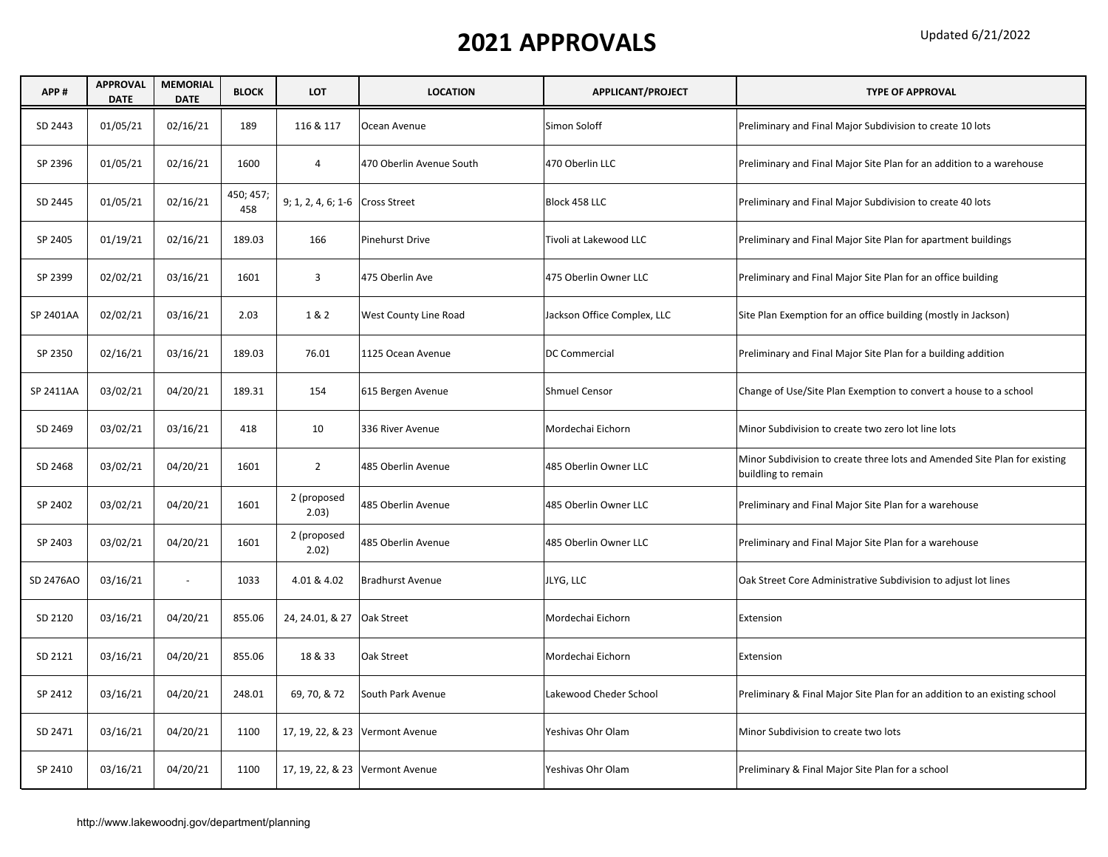| APP#      | <b>APPROVAL</b><br><b>DATE</b> | <b>MEMORIAL</b><br><b>DATE</b> | <b>BLOCK</b>     | <b>LOT</b>                      | <b>LOCATION</b>                   | <b>APPLICANT/PROJECT</b>    | <b>TYPE OF APPROVAL</b>                                                                          |
|-----------|--------------------------------|--------------------------------|------------------|---------------------------------|-----------------------------------|-----------------------------|--------------------------------------------------------------------------------------------------|
| SD 2443   | 01/05/21                       | 02/16/21                       | 189              | 116 & 117                       | Ocean Avenue                      | Simon Soloff                | Preliminary and Final Major Subdivision to create 10 lots                                        |
| SP 2396   | 01/05/21                       | 02/16/21                       | 1600             | 4                               | 470 Oberlin Avenue South          | 470 Oberlin LLC             | Preliminary and Final Major Site Plan for an addition to a warehouse                             |
| SD 2445   | 01/05/21                       | 02/16/21                       | 450; 457;<br>458 | 9; 1, 2, 4, 6; 1-6 Cross Street |                                   | Block 458 LLC               | Preliminary and Final Major Subdivision to create 40 lots                                        |
| SP 2405   | 01/19/21                       | 02/16/21                       | 189.03           | 166                             | <b>Pinehurst Drive</b>            | Tivoli at Lakewood LLC      | Preliminary and Final Major Site Plan for apartment buildings                                    |
| SP 2399   | 02/02/21                       | 03/16/21                       | 1601             | 3                               | 475 Oberlin Ave                   | 475 Oberlin Owner LLC       | Preliminary and Final Major Site Plan for an office building                                     |
| SP 2401AA | 02/02/21                       | 03/16/21                       | 2.03             | 1&2                             | West County Line Road             | Jackson Office Complex, LLC | Site Plan Exemption for an office building (mostly in Jackson)                                   |
| SP 2350   | 02/16/21                       | 03/16/21                       | 189.03           | 76.01                           | 1125 Ocean Avenue                 | DC Commercial               | Preliminary and Final Major Site Plan for a building addition                                    |
| SP 2411AA | 03/02/21                       | 04/20/21                       | 189.31           | 154                             | 615 Bergen Avenue                 | <b>Shmuel Censor</b>        | Change of Use/Site Plan Exemption to convert a house to a school                                 |
| SD 2469   | 03/02/21                       | 03/16/21                       | 418              | 10                              | 336 River Avenue                  | Mordechai Eichorn           | Minor Subdivision to create two zero lot line lots                                               |
| SD 2468   | 03/02/21                       | 04/20/21                       | 1601             | $\overline{2}$                  | 485 Oberlin Avenue                | 485 Oberlin Owner LLC       | Minor Subdivision to create three lots and Amended Site Plan for existing<br>buildling to remain |
| SP 2402   | 03/02/21                       | 04/20/21                       | 1601             | 2 (proposed<br>2.03)            | 485 Oberlin Avenue                | 485 Oberlin Owner LLC       | Preliminary and Final Major Site Plan for a warehouse                                            |
| SP 2403   | 03/02/21                       | 04/20/21                       | 1601             | 2 (proposed<br>2.02)            | 485 Oberlin Avenue                | 485 Oberlin Owner LLC       | Preliminary and Final Major Site Plan for a warehouse                                            |
| SD 2476AO | 03/16/21                       | $\omega$                       | 1033             | 4.01 & 4.02                     | <b>Bradhurst Avenue</b>           | JLYG, LLC                   | Oak Street Core Administrative Subdivision to adjust lot lines                                   |
| SD 2120   | 03/16/21                       | 04/20/21                       | 855.06           | 24, 24.01, & 27 Oak Street      |                                   | Mordechai Eichorn           | Extension                                                                                        |
| SD 2121   | 03/16/21                       | 04/20/21                       | 855.06           | 18 & 33                         | Oak Street                        | Mordechai Eichorn           | Extension                                                                                        |
| SP 2412   | 03/16/21                       | 04/20/21                       | 248.01           | 69, 70, & 72                    | South Park Avenue                 | Lakewood Cheder School      | Preliminary & Final Major Site Plan for an addition to an existing school                        |
| SD 2471   | 03/16/21                       | 04/20/21                       | 1100             |                                 | 17, 19, 22, & 23 Vermont Avenue   | Yeshivas Ohr Olam           | Minor Subdivision to create two lots                                                             |
| SP 2410   | 03/16/21                       | 04/20/21                       | 1100             |                                 | 17, 19, 22, & 23   Vermont Avenue | Yeshivas Ohr Olam           | Preliminary & Final Major Site Plan for a school                                                 |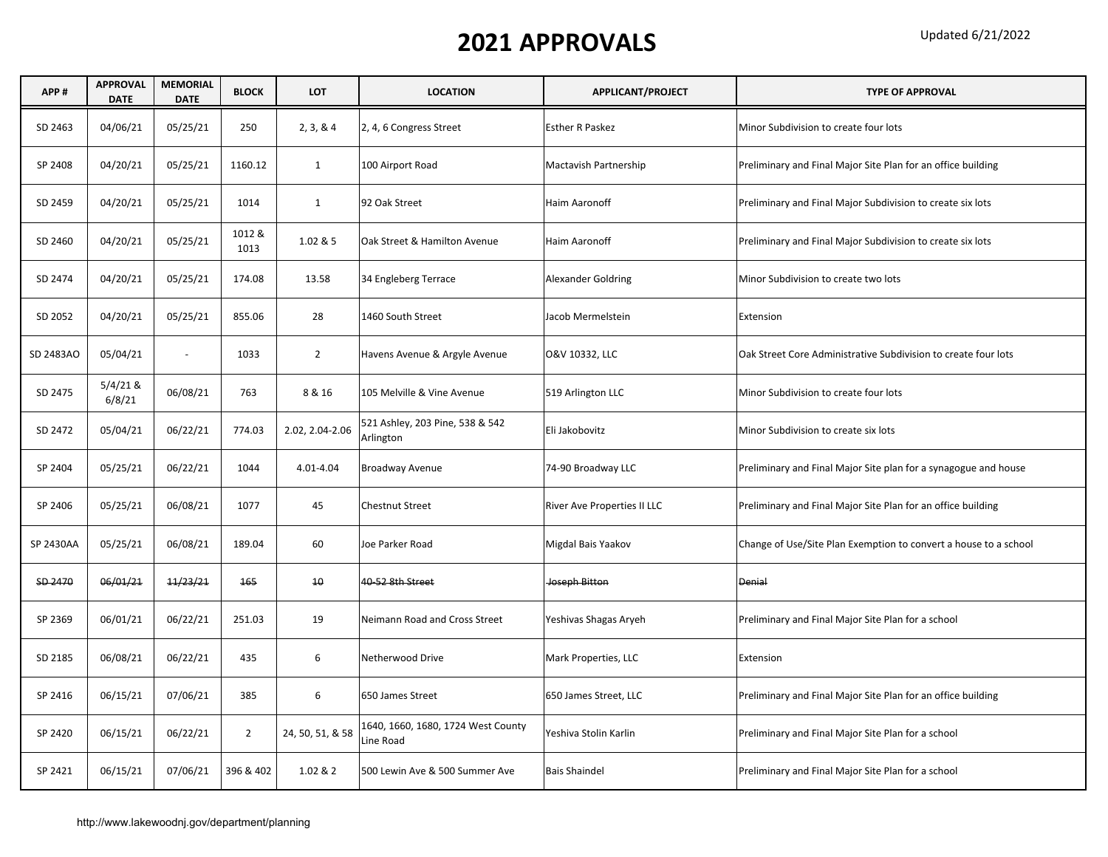| APP#      | <b>APPROVAL</b><br><b>DATE</b> | <b>MEMORIAL</b><br><b>DATE</b> | <b>BLOCK</b>   | LOT              | <b>LOCATION</b>                                 | APPLICANT/PROJECT           | <b>TYPE OF APPROVAL</b>                                          |
|-----------|--------------------------------|--------------------------------|----------------|------------------|-------------------------------------------------|-----------------------------|------------------------------------------------------------------|
| SD 2463   | 04/06/21                       | 05/25/21                       | 250            | 2, 3, 8, 4       | 2, 4, 6 Congress Street                         | <b>Esther R Paskez</b>      | Minor Subdivision to create four lots                            |
| SP 2408   | 04/20/21                       | 05/25/21                       | 1160.12        | $\mathbf{1}$     | 100 Airport Road                                | Mactavish Partnership       | Preliminary and Final Major Site Plan for an office building     |
| SD 2459   | 04/20/21                       | 05/25/21                       | 1014           | $\mathbf{1}$     | 92 Oak Street                                   | Haim Aaronoff               | Preliminary and Final Major Subdivision to create six lots       |
| SD 2460   | 04/20/21                       | 05/25/21                       | 1012 &<br>1013 | 1.02 & 5         | Oak Street & Hamilton Avenue                    | Haim Aaronoff               | Preliminary and Final Major Subdivision to create six lots       |
| SD 2474   | 04/20/21                       | 05/25/21                       | 174.08         | 13.58            | 34 Engleberg Terrace                            | Alexander Goldring          | Minor Subdivision to create two lots                             |
| SD 2052   | 04/20/21                       | 05/25/21                       | 855.06         | 28               | 1460 South Street                               | Jacob Mermelstein           | Extension                                                        |
| SD 2483AO | 05/04/21                       | $\sim$                         | 1033           | $\overline{2}$   | Havens Avenue & Argyle Avenue                   | O&V 10332, LLC              | Oak Street Core Administrative Subdivision to create four lots   |
| SD 2475   | $5/4/21$ &<br>6/8/21           | 06/08/21                       | 763            | 8 & 16           | 105 Melville & Vine Avenue                      | 519 Arlington LLC           | Minor Subdivision to create four lots                            |
| SD 2472   | 05/04/21                       | 06/22/21                       | 774.03         | 2.02, 2.04-2.06  | 521 Ashley, 203 Pine, 538 & 542<br>Arlington    | Eli Jakobovitz              | Minor Subdivision to create six lots                             |
| SP 2404   | 05/25/21                       | 06/22/21                       | 1044           | 4.01-4.04        | Broadway Avenue                                 | 74-90 Broadway LLC          | Preliminary and Final Major Site plan for a synagogue and house  |
| SP 2406   | 05/25/21                       | 06/08/21                       | 1077           | 45               | <b>Chestnut Street</b>                          | River Ave Properties II LLC | Preliminary and Final Major Site Plan for an office building     |
| SP 2430AA | 05/25/21                       | 06/08/21                       | 189.04         | 60               | Joe Parker Road                                 | Migdal Bais Yaakov          | Change of Use/Site Plan Exemption to convert a house to a school |
| SD 2470   | 06/01/21                       | 11/23/21                       | 165            | 10               | 40 52 8th Street                                | Joseph Bitton               | <b>Denial</b>                                                    |
| SP 2369   | 06/01/21                       | 06/22/21                       | 251.03         | 19               | Neimann Road and Cross Street                   | Yeshivas Shagas Aryeh       | Preliminary and Final Major Site Plan for a school               |
| SD 2185   | 06/08/21                       | 06/22/21                       | 435            | 6                | Netherwood Drive                                | Mark Properties, LLC        | Extension                                                        |
| SP 2416   | 06/15/21                       | 07/06/21                       | 385            | 6                | 650 James Street                                | 650 James Street, LLC       | Preliminary and Final Major Site Plan for an office building     |
| SP 2420   | 06/15/21                       | 06/22/21                       | $\overline{2}$ | 24, 50, 51, & 58 | 1640, 1660, 1680, 1724 West County<br>Line Road | Yeshiva Stolin Karlin       | Preliminary and Final Major Site Plan for a school               |
| SP 2421   | 06/15/21                       | 07/06/21                       | 396 & 402      | 1.02 & 2         | 500 Lewin Ave & 500 Summer Ave                  | <b>Bais Shaindel</b>        | Preliminary and Final Major Site Plan for a school               |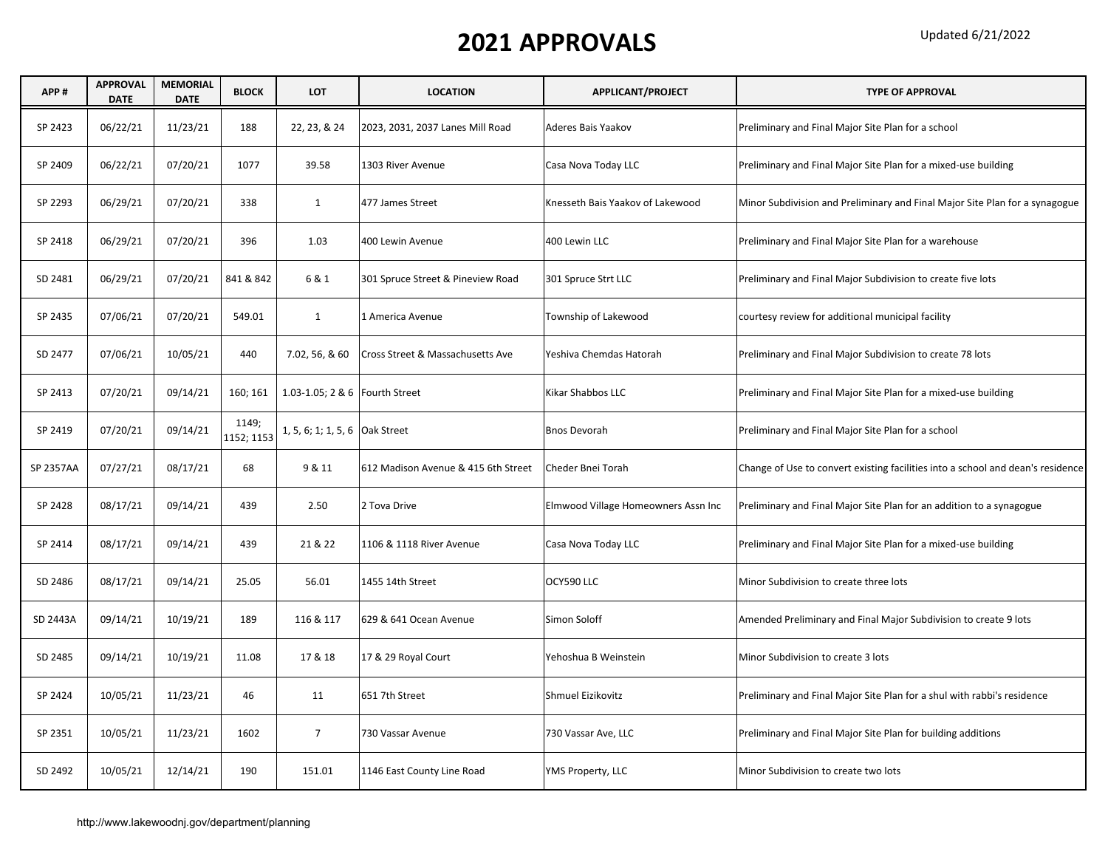#### Updated 6/21/2022

| APP#      | <b>APPROVAL</b><br><b>DATE</b> | <b>MEMORIAL</b><br><b>DATE</b> | <b>BLOCK</b>        | <b>LOT</b>                       | <b>LOCATION</b>                     | APPLICANT/PROJECT                   | <b>TYPE OF APPROVAL</b>                                                         |
|-----------|--------------------------------|--------------------------------|---------------------|----------------------------------|-------------------------------------|-------------------------------------|---------------------------------------------------------------------------------|
| SP 2423   | 06/22/21                       | 11/23/21                       | 188                 | 22, 23, & 24                     | 2023, 2031, 2037 Lanes Mill Road    | Aderes Bais Yaakov                  | Preliminary and Final Major Site Plan for a school                              |
| SP 2409   | 06/22/21                       | 07/20/21                       | 1077                | 39.58                            | 1303 River Avenue                   | Casa Nova Today LLC                 | Preliminary and Final Major Site Plan for a mixed-use building                  |
| SP 2293   | 06/29/21                       | 07/20/21                       | 338                 | $\mathbf{1}$                     | 477 James Street                    | Knesseth Bais Yaakov of Lakewood    | Minor Subdivision and Preliminary and Final Major Site Plan for a synagogue     |
| SP 2418   | 06/29/21                       | 07/20/21                       | 396                 | 1.03                             | 400 Lewin Avenue                    | 400 Lewin LLC                       | Preliminary and Final Major Site Plan for a warehouse                           |
| SD 2481   | 06/29/21                       | 07/20/21                       | 841 & 842           | 6 & 1                            | 301 Spruce Street & Pineview Road   | 301 Spruce Strt LLC                 | Preliminary and Final Major Subdivision to create five lots                     |
| SP 2435   | 07/06/21                       | 07/20/21                       | 549.01              | $\mathbf{1}$                     | 1 America Avenue                    | Township of Lakewood                | courtesy review for additional municipal facility                               |
| SD 2477   | 07/06/21                       | 10/05/21                       | 440                 | 7.02, 56, & 60                   | Cross Street & Massachusetts Ave    | Yeshiva Chemdas Hatorah             | Preliminary and Final Major Subdivision to create 78 lots                       |
| SP 2413   | 07/20/21                       | 09/14/21                       | 160; 161            | 1.03-1.05; 2 & 6   Fourth Street |                                     | Kikar Shabbos LLC                   | Preliminary and Final Major Site Plan for a mixed-use building                  |
| SP 2419   | 07/20/21                       | 09/14/21                       | 1149;<br>1152; 1153 | 1, 5, 6; 1; 1, 5, 6 Oak Street   |                                     | <b>Bnos Devorah</b>                 | Preliminary and Final Major Site Plan for a school                              |
| SP 2357AA | 07/27/21                       | 08/17/21                       | 68                  | 9 & 11                           | 612 Madison Avenue & 415 6th Street | Cheder Bnei Torah                   | Change of Use to convert existing facilities into a school and dean's residence |
| SP 2428   | 08/17/21                       | 09/14/21                       | 439                 | 2.50                             | 2 Tova Drive                        | Elmwood Village Homeowners Assn Inc | Preliminary and Final Major Site Plan for an addition to a synagogue            |
| SP 2414   | 08/17/21                       | 09/14/21                       | 439                 | 21 & 22                          | 1106 & 1118 River Avenue            | Casa Nova Today LLC                 | Preliminary and Final Major Site Plan for a mixed-use building                  |
| SD 2486   | 08/17/21                       | 09/14/21                       | 25.05               | 56.01                            | 1455 14th Street                    | OCY590 LLC                          | Minor Subdivision to create three lots                                          |
| SD 2443A  | 09/14/21                       | 10/19/21                       | 189                 | 116 & 117                        | 629 & 641 Ocean Avenue              | Simon Soloff                        | Amended Preliminary and Final Major Subdivision to create 9 lots                |
| SD 2485   | 09/14/21                       | 10/19/21                       | 11.08               | 17 & 18                          | 17 & 29 Royal Court                 | Yehoshua B Weinstein                | Minor Subdivision to create 3 lots                                              |
| SP 2424   | 10/05/21                       | 11/23/21                       | 46                  | 11                               | 651 7th Street                      | Shmuel Eizikovitz                   | Preliminary and Final Major Site Plan for a shul with rabbi's residence         |
| SP 2351   | 10/05/21                       | 11/23/21                       | 1602                | $\overline{7}$                   | 730 Vassar Avenue                   | 730 Vassar Ave, LLC                 | Preliminary and Final Major Site Plan for building additions                    |
| SD 2492   | 10/05/21                       | 12/14/21                       | 190                 | 151.01                           | 1146 East County Line Road          | YMS Property, LLC                   | Minor Subdivision to create two lots                                            |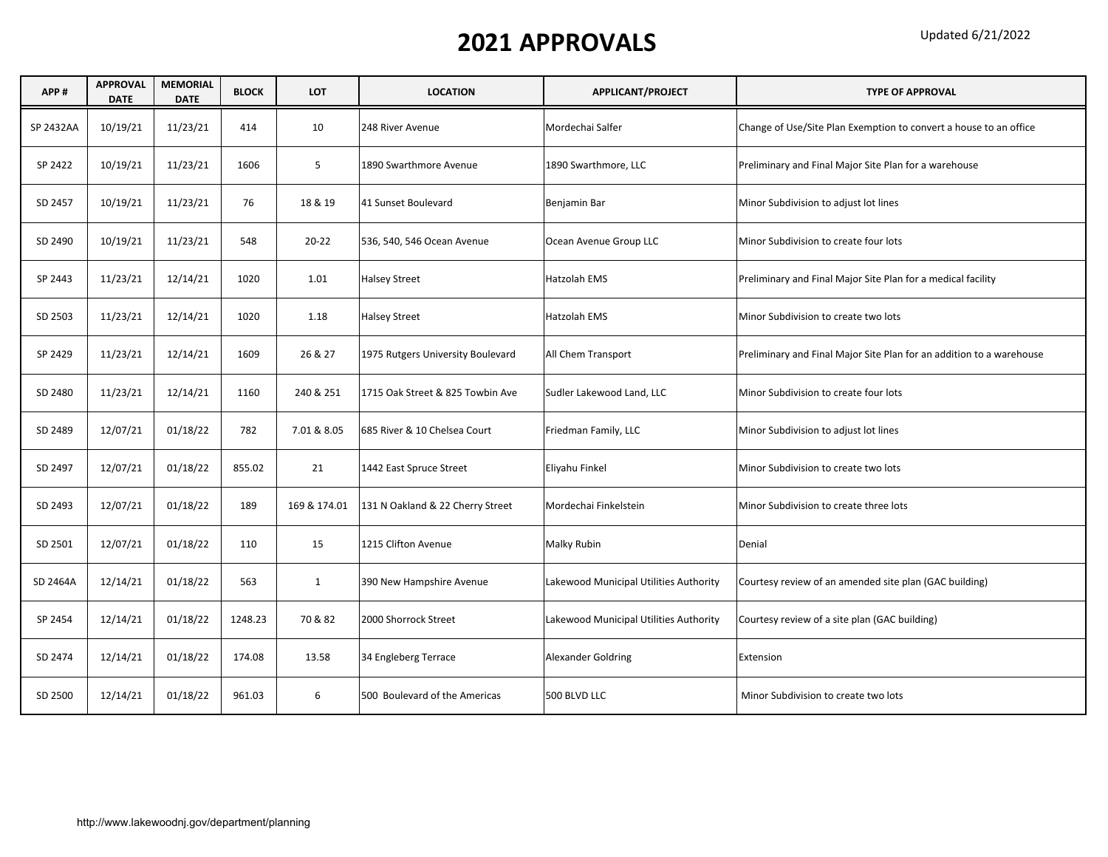| APP#      | <b>APPROVAL</b><br><b>DATE</b> | <b>MEMORIAL</b><br><b>DATE</b> | <b>BLOCK</b> | <b>LOT</b>   | <b>LOCATION</b>                   | APPLICANT/PROJECT                      | <b>TYPE OF APPROVAL</b>                                              |
|-----------|--------------------------------|--------------------------------|--------------|--------------|-----------------------------------|----------------------------------------|----------------------------------------------------------------------|
| SP 2432AA | 10/19/21                       | 11/23/21                       | 414          | 10           | 248 River Avenue                  | Mordechai Salfer                       | Change of Use/Site Plan Exemption to convert a house to an office    |
| SP 2422   | 10/19/21                       | 11/23/21                       | 1606         | 5            | 1890 Swarthmore Avenue            | 1890 Swarthmore, LLC                   | Preliminary and Final Major Site Plan for a warehouse                |
| SD 2457   | 10/19/21                       | 11/23/21                       | 76           | 18 & 19      | 41 Sunset Boulevard               | Benjamin Bar                           | Minor Subdivision to adjust lot lines                                |
| SD 2490   | 10/19/21                       | 11/23/21                       | 548          | $20 - 22$    | 536, 540, 546 Ocean Avenue        | Ocean Avenue Group LLC                 | Minor Subdivision to create four lots                                |
| SP 2443   | 11/23/21                       | 12/14/21                       | 1020         | 1.01         | <b>Halsey Street</b>              | Hatzolah EMS                           | Preliminary and Final Major Site Plan for a medical facility         |
| SD 2503   | 11/23/21                       | 12/14/21                       | 1020         | 1.18         | <b>Halsey Street</b>              | Hatzolah EMS                           | Minor Subdivision to create two lots                                 |
| SP 2429   | 11/23/21                       | 12/14/21                       | 1609         | 26 & 27      | 1975 Rutgers University Boulevard | All Chem Transport                     | Preliminary and Final Major Site Plan for an addition to a warehouse |
| SD 2480   | 11/23/21                       | 12/14/21                       | 1160         | 240 & 251    | 1715 Oak Street & 825 Towbin Ave  | Sudler Lakewood Land, LLC              | Minor Subdivision to create four lots                                |
| SD 2489   | 12/07/21                       | 01/18/22                       | 782          | 7.01 & 8.05  | 685 River & 10 Chelsea Court      | Friedman Family, LLC                   | Minor Subdivision to adjust lot lines                                |
| SD 2497   | 12/07/21                       | 01/18/22                       | 855.02       | 21           | 1442 East Spruce Street           | Eliyahu Finkel                         | Minor Subdivision to create two lots                                 |
| SD 2493   | 12/07/21                       | 01/18/22                       | 189          | 169 & 174.01 | 131 N Oakland & 22 Cherry Street  | Mordechai Finkelstein                  | Minor Subdivision to create three lots                               |
| SD 2501   | 12/07/21                       | 01/18/22                       | 110          | 15           | 1215 Clifton Avenue               | Malky Rubin                            | Denial                                                               |
| SD 2464A  | 12/14/21                       | 01/18/22                       | 563          | $\mathbf{1}$ | 390 New Hampshire Avenue          | Lakewood Municipal Utilities Authority | Courtesy review of an amended site plan (GAC building)               |
| SP 2454   | 12/14/21                       | 01/18/22                       | 1248.23      | 70 & 82      | 2000 Shorrock Street              | Lakewood Municipal Utilities Authority | Courtesy review of a site plan (GAC building)                        |
| SD 2474   | 12/14/21                       | 01/18/22                       | 174.08       | 13.58        | 34 Engleberg Terrace              | <b>Alexander Goldring</b>              | Extension                                                            |
| SD 2500   | 12/14/21                       | 01/18/22                       | 961.03       | 6            | 500 Boulevard of the Americas     | 500 BLVD LLC                           | Minor Subdivision to create two lots                                 |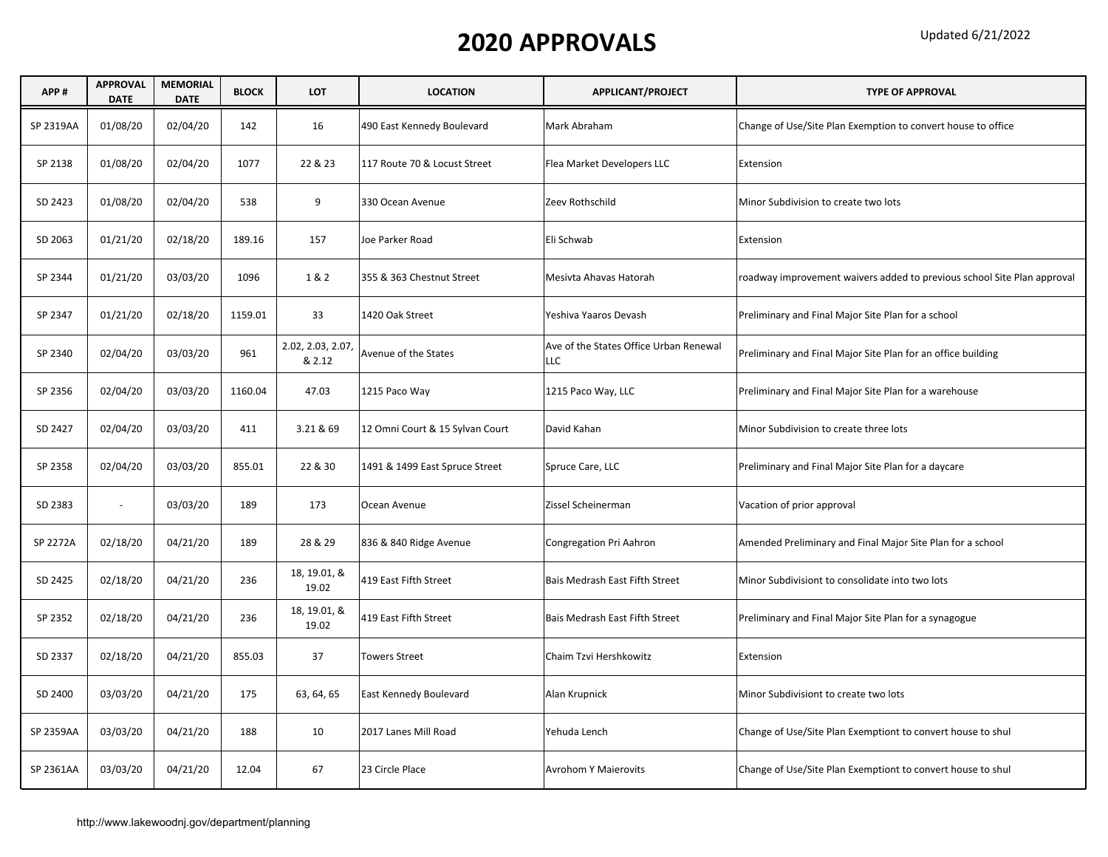| APP#      | <b>APPROVAL</b><br><b>DATE</b> | <b>MEMORIAL</b><br><b>DATE</b> | <b>BLOCK</b> | LOT                         | <b>LOCATION</b>                 | APPLICANT/PROJECT                             | <b>TYPE OF APPROVAL</b>                                                 |
|-----------|--------------------------------|--------------------------------|--------------|-----------------------------|---------------------------------|-----------------------------------------------|-------------------------------------------------------------------------|
| SP 2319AA | 01/08/20                       | 02/04/20                       | 142          | 16                          | 490 East Kennedy Boulevard      | Mark Abraham                                  | Change of Use/Site Plan Exemption to convert house to office            |
| SP 2138   | 01/08/20                       | 02/04/20                       | 1077         | 22 & 23                     | 117 Route 70 & Locust Street    | Flea Market Developers LLC                    | Extension                                                               |
| SD 2423   | 01/08/20                       | 02/04/20                       | 538          | 9                           | 330 Ocean Avenue                | Zeev Rothschild                               | Minor Subdivision to create two lots                                    |
| SD 2063   | 01/21/20                       | 02/18/20                       | 189.16       | 157                         | Joe Parker Road                 | Eli Schwab                                    | Extension                                                               |
| SP 2344   | 01/21/20                       | 03/03/20                       | 1096         | 1&2                         | 355 & 363 Chestnut Street       | Mesivta Ahavas Hatorah                        | roadway improvement waivers added to previous school Site Plan approval |
| SP 2347   | 01/21/20                       | 02/18/20                       | 1159.01      | 33                          | 1420 Oak Street                 | Yeshiva Yaaros Devash                         | Preliminary and Final Major Site Plan for a school                      |
| SP 2340   | 02/04/20                       | 03/03/20                       | 961          | 2.02, 2.03, 2.07,<br>& 2.12 | Avenue of the States            | Ave of the States Office Urban Renewal<br>LLC | Preliminary and Final Major Site Plan for an office building            |
| SP 2356   | 02/04/20                       | 03/03/20                       | 1160.04      | 47.03                       | 1215 Paco Way                   | 1215 Paco Way, LLC                            | Preliminary and Final Major Site Plan for a warehouse                   |
| SD 2427   | 02/04/20                       | 03/03/20                       | 411          | 3.21 & 69                   | 12 Omni Court & 15 Sylvan Court | David Kahan                                   | Minor Subdivision to create three lots                                  |
| SP 2358   | 02/04/20                       | 03/03/20                       | 855.01       | 22 & 30                     | 1491 & 1499 East Spruce Street  | Spruce Care, LLC                              | Preliminary and Final Major Site Plan for a daycare                     |
| SD 2383   | $\omega$                       | 03/03/20                       | 189          | 173                         | Ocean Avenue                    | Zissel Scheinerman                            | Vacation of prior approval                                              |
| SP 2272A  | 02/18/20                       | 04/21/20                       | 189          | 28 & 29                     | 836 & 840 Ridge Avenue          | Congregation Pri Aahron                       | Amended Preliminary and Final Major Site Plan for a school              |
| SD 2425   | 02/18/20                       | 04/21/20                       | 236          | 18, 19.01, &<br>19.02       | 419 East Fifth Street           | Bais Medrash East Fifth Street                | Minor Subdivisiont to consolidate into two lots                         |
| SP 2352   | 02/18/20                       | 04/21/20                       | 236          | 18, 19.01, &<br>19.02       | 419 East Fifth Street           | Bais Medrash East Fifth Street                | Preliminary and Final Major Site Plan for a synagogue                   |
| SD 2337   | 02/18/20                       | 04/21/20                       | 855.03       | 37                          | <b>Towers Street</b>            | Chaim Tzvi Hershkowitz                        | Extension                                                               |
| SD 2400   | 03/03/20                       | 04/21/20                       | 175          | 63, 64, 65                  | East Kennedy Boulevard          | Alan Krupnick                                 | Minor Subdivisiont to create two lots                                   |
| SP 2359AA | 03/03/20                       | 04/21/20                       | 188          | 10                          | 2017 Lanes Mill Road            | Yehuda Lench                                  | Change of Use/Site Plan Exemptiont to convert house to shul             |
| SP 2361AA | 03/03/20                       | 04/21/20                       | 12.04        | 67                          | 23 Circle Place                 | <b>Avrohom Y Maierovits</b>                   | Change of Use/Site Plan Exemptiont to convert house to shul             |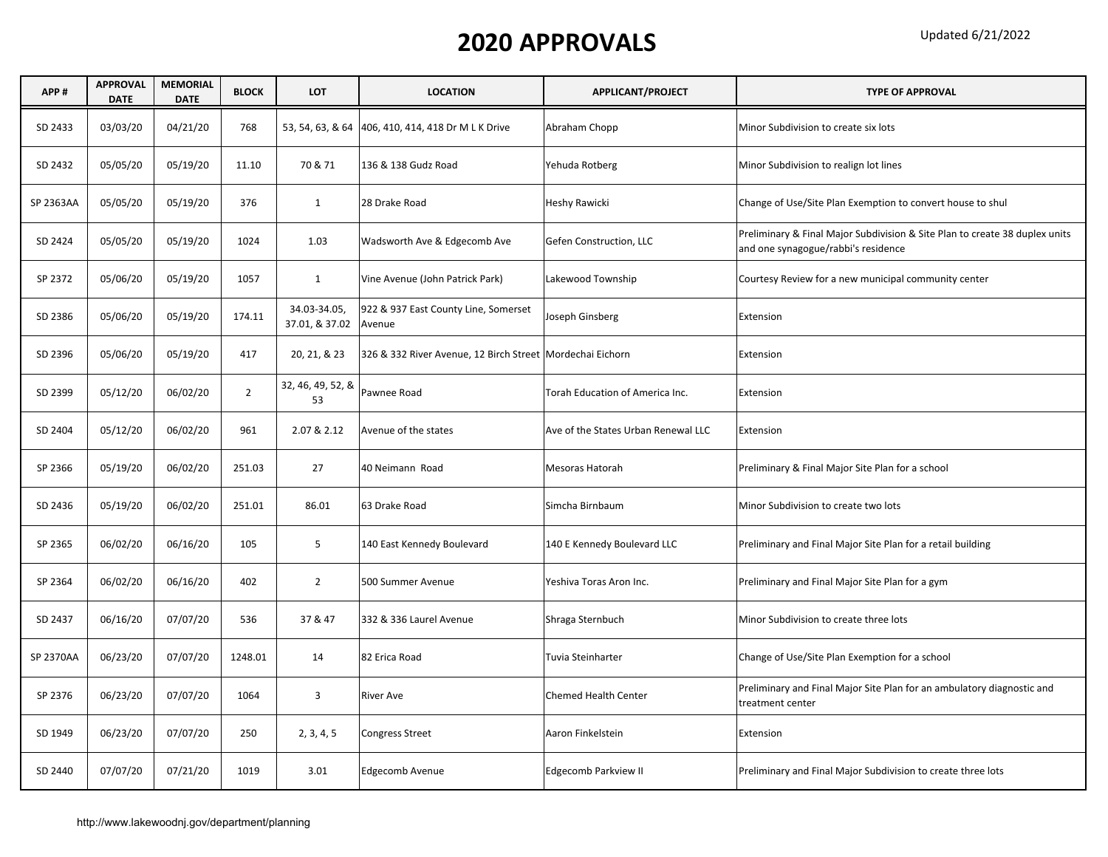| APP#      | <b>APPROVAL</b><br><b>DATE</b> | <b>MEMORIAL</b><br><b>DATE</b> | <b>BLOCK</b>   | <b>LOT</b>                     | <b>LOCATION</b>                                             | APPLICANT/PROJECT                   | <b>TYPE OF APPROVAL</b>                                                                                            |
|-----------|--------------------------------|--------------------------------|----------------|--------------------------------|-------------------------------------------------------------|-------------------------------------|--------------------------------------------------------------------------------------------------------------------|
| SD 2433   | 03/03/20                       | 04/21/20                       | 768            | 53, 54, 63, & 64               | 406, 410, 414, 418 Dr M L K Drive                           | Abraham Chopp                       | Minor Subdivision to create six lots                                                                               |
| SD 2432   | 05/05/20                       | 05/19/20                       | 11.10          | 70 & 71                        | 136 & 138 Gudz Road                                         | Yehuda Rotberg                      | Minor Subdivision to realign lot lines                                                                             |
| SP 2363AA | 05/05/20                       | 05/19/20                       | 376            | 1                              | 28 Drake Road                                               | Heshy Rawicki                       | Change of Use/Site Plan Exemption to convert house to shul                                                         |
| SD 2424   | 05/05/20                       | 05/19/20                       | 1024           | 1.03                           | Wadsworth Ave & Edgecomb Ave                                | Gefen Construction, LLC             | Preliminary & Final Major Subdivision & Site Plan to create 38 duplex units<br>and one synagogue/rabbi's residence |
| SP 2372   | 05/06/20                       | 05/19/20                       | 1057           | $\mathbf{1}$                   | Vine Avenue (John Patrick Park)                             | Lakewood Township                   | Courtesy Review for a new municipal community center                                                               |
| SD 2386   | 05/06/20                       | 05/19/20                       | 174.11         | 34.03-34.05,<br>37.01, & 37.02 | 922 & 937 East County Line, Somerset<br>Avenue              | Joseph Ginsberg                     | Extension                                                                                                          |
| SD 2396   | 05/06/20                       | 05/19/20                       | 417            | 20, 21, & 23                   | 326 & 332 River Avenue, 12 Birch Street   Mordechai Eichorn |                                     | Extension                                                                                                          |
| SD 2399   | 05/12/20                       | 06/02/20                       | $\overline{2}$ | 32, 46, 49, 52, &<br>53        | Pawnee Road                                                 | Torah Education of America Inc.     | Extension                                                                                                          |
| SD 2404   | 05/12/20                       | 06/02/20                       | 961            | 2.07 & 2.12                    | Avenue of the states                                        | Ave of the States Urban Renewal LLC | Extension                                                                                                          |
| SP 2366   | 05/19/20                       | 06/02/20                       | 251.03         | 27                             | 40 Neimann Road                                             | Mesoras Hatorah                     | Preliminary & Final Major Site Plan for a school                                                                   |
| SD 2436   | 05/19/20                       | 06/02/20                       | 251.01         | 86.01                          | 63 Drake Road                                               | Simcha Birnbaum                     | Minor Subdivision to create two lots                                                                               |
| SP 2365   | 06/02/20                       | 06/16/20                       | 105            | 5                              | 140 East Kennedy Boulevard                                  | 140 E Kennedy Boulevard LLC         | Preliminary and Final Major Site Plan for a retail building                                                        |
| SP 2364   | 06/02/20                       | 06/16/20                       | 402            | $\overline{2}$                 | 500 Summer Avenue                                           | Yeshiva Toras Aron Inc.             | Preliminary and Final Major Site Plan for a gym                                                                    |
| SD 2437   | 06/16/20                       | 07/07/20                       | 536            | 37 & 47                        | 332 & 336 Laurel Avenue                                     | Shraga Sternbuch                    | Minor Subdivision to create three lots                                                                             |
| SP 2370AA | 06/23/20                       | 07/07/20                       | 1248.01        | 14                             | 82 Erica Road                                               | Tuvia Steinharter                   | Change of Use/Site Plan Exemption for a school                                                                     |
| SP 2376   | 06/23/20                       | 07/07/20                       | 1064           | 3                              | <b>River Ave</b>                                            | <b>Chemed Health Center</b>         | Preliminary and Final Major Site Plan for an ambulatory diagnostic and<br>treatment center                         |
| SD 1949   | 06/23/20                       | 07/07/20                       | 250            | 2, 3, 4, 5                     | <b>Congress Street</b>                                      | Aaron Finkelstein                   | Extension                                                                                                          |
| SD 2440   | 07/07/20                       | 07/21/20                       | 1019           | 3.01                           | Edgecomb Avenue                                             | Edgecomb Parkview II                | Preliminary and Final Major Subdivision to create three lots                                                       |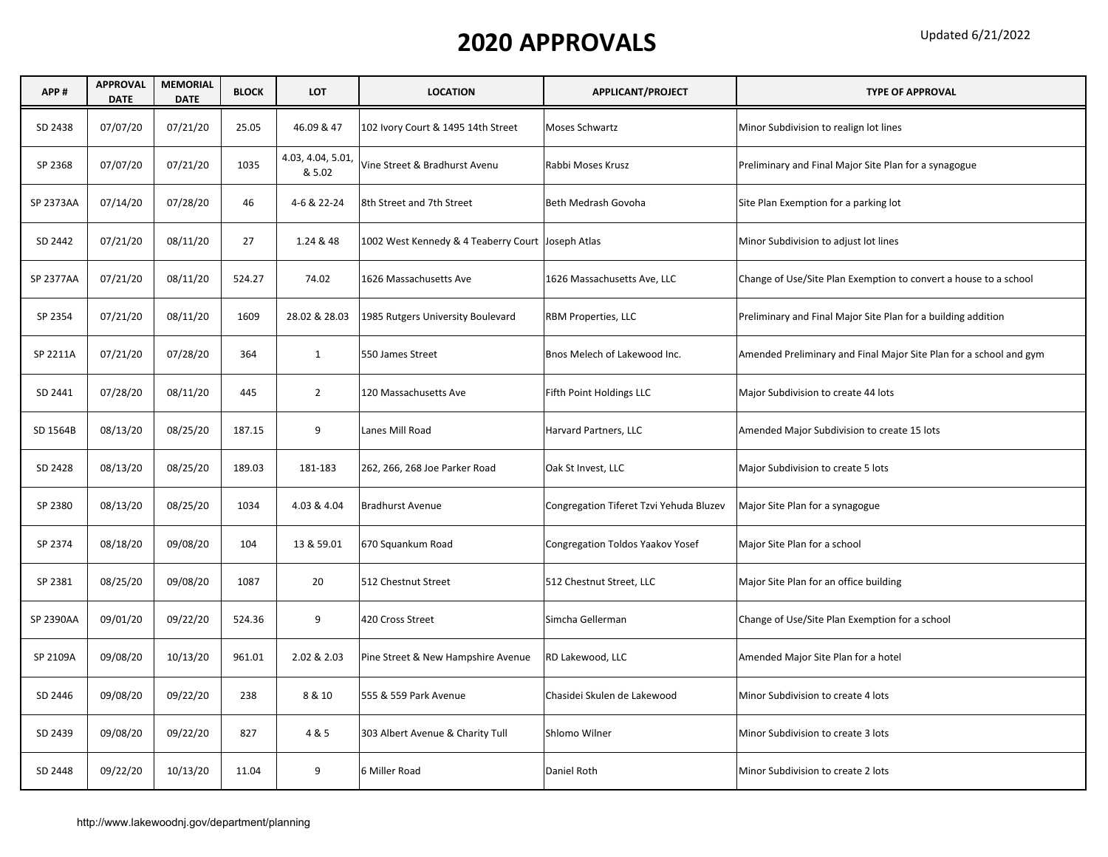| APP#      | <b>APPROVAL</b><br><b>DATE</b> | <b>MEMORIAL</b><br><b>DATE</b> | <b>BLOCK</b> | <b>LOT</b>                  | <b>LOCATION</b>                                   | APPLICANT/PROJECT                       | <b>TYPE OF APPROVAL</b>                                            |
|-----------|--------------------------------|--------------------------------|--------------|-----------------------------|---------------------------------------------------|-----------------------------------------|--------------------------------------------------------------------|
| SD 2438   | 07/07/20                       | 07/21/20                       | 25.05        | 46.09 & 47                  | 102 Ivory Court & 1495 14th Street                | <b>Moses Schwartz</b>                   | Minor Subdivision to realign lot lines                             |
| SP 2368   | 07/07/20                       | 07/21/20                       | 1035         | 4.03, 4.04, 5.01,<br>& 5.02 | Vine Street & Bradhurst Avenu                     | Rabbi Moses Krusz                       | Preliminary and Final Major Site Plan for a synagogue              |
| SP 2373AA | 07/14/20                       | 07/28/20                       | 46           | 4-6 & 22-24                 | 8th Street and 7th Street                         | Beth Medrash Govoha                     | Site Plan Exemption for a parking lot                              |
| SD 2442   | 07/21/20                       | 08/11/20                       | 27           | 1.24 & 48                   | 1002 West Kennedy & 4 Teaberry Court Joseph Atlas |                                         | Minor Subdivision to adjust lot lines                              |
| SP 2377AA | 07/21/20                       | 08/11/20                       | 524.27       | 74.02                       | 1626 Massachusetts Ave                            | 1626 Massachusetts Ave, LLC             | Change of Use/Site Plan Exemption to convert a house to a school   |
| SP 2354   | 07/21/20                       | 08/11/20                       | 1609         | 28.02 & 28.03               | 1985 Rutgers University Boulevard                 | RBM Properties, LLC                     | Preliminary and Final Major Site Plan for a building addition      |
| SP 2211A  | 07/21/20                       | 07/28/20                       | 364          | $\mathbf{1}$                | 550 James Street                                  | Bnos Melech of Lakewood Inc.            | Amended Preliminary and Final Major Site Plan for a school and gym |
| SD 2441   | 07/28/20                       | 08/11/20                       | 445          | $\overline{2}$              | 120 Massachusetts Ave                             | Fifth Point Holdings LLC                | Major Subdivision to create 44 lots                                |
| SD 1564B  | 08/13/20                       | 08/25/20                       | 187.15       | 9                           | Lanes Mill Road                                   | Harvard Partners, LLC                   | Amended Major Subdivision to create 15 lots                        |
| SD 2428   | 08/13/20                       | 08/25/20                       | 189.03       | 181-183                     | 262, 266, 268 Joe Parker Road                     | Oak St Invest, LLC                      | Major Subdivision to create 5 lots                                 |
| SP 2380   | 08/13/20                       | 08/25/20                       | 1034         | 4.03 & 4.04                 | <b>Bradhurst Avenue</b>                           | Congregation Tiferet Tzvi Yehuda Bluzev | Major Site Plan for a synagogue                                    |
| SP 2374   | 08/18/20                       | 09/08/20                       | 104          | 13 & 59.01                  | 670 Squankum Road                                 | Congregation Toldos Yaakov Yosef        | Major Site Plan for a school                                       |
| SP 2381   | 08/25/20                       | 09/08/20                       | 1087         | 20                          | 512 Chestnut Street                               | 512 Chestnut Street, LLC                | Major Site Plan for an office building                             |
| SP 2390AA | 09/01/20                       | 09/22/20                       | 524.36       | 9                           | 420 Cross Street                                  | Simcha Gellerman                        | Change of Use/Site Plan Exemption for a school                     |
| SP 2109A  | 09/08/20                       | 10/13/20                       | 961.01       | 2.02 & 2.03                 | Pine Street & New Hampshire Avenue                | RD Lakewood, LLC                        | Amended Major Site Plan for a hotel                                |
| SD 2446   | 09/08/20                       | 09/22/20                       | 238          | 8 & 10                      | 555 & 559 Park Avenue                             | Chasidei Skulen de Lakewood             | Minor Subdivision to create 4 lots                                 |
| SD 2439   | 09/08/20                       | 09/22/20                       | 827          | 4 & 5                       | 303 Albert Avenue & Charity Tull                  | Shlomo Wilner                           | Minor Subdivision to create 3 lots                                 |
| SD 2448   | 09/22/20                       | 10/13/20                       | 11.04        | 9                           | 6 Miller Road                                     | Daniel Roth                             | Minor Subdivision to create 2 lots                                 |